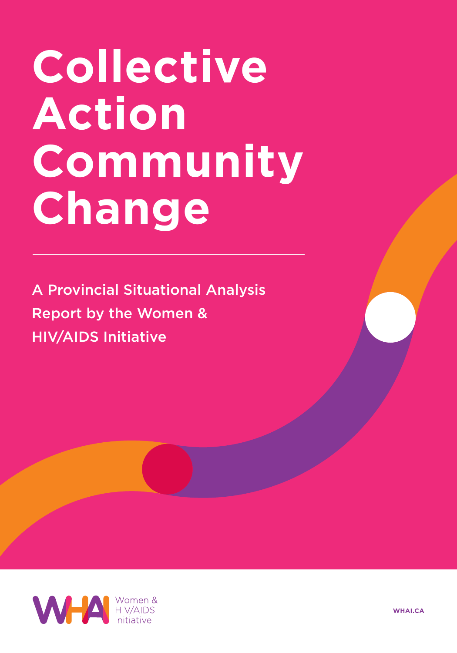# **Collective Action Community Change**

A Provincial Situational Analysis Report by the Women & HIV/AIDS Initiative



**WHAI.CA**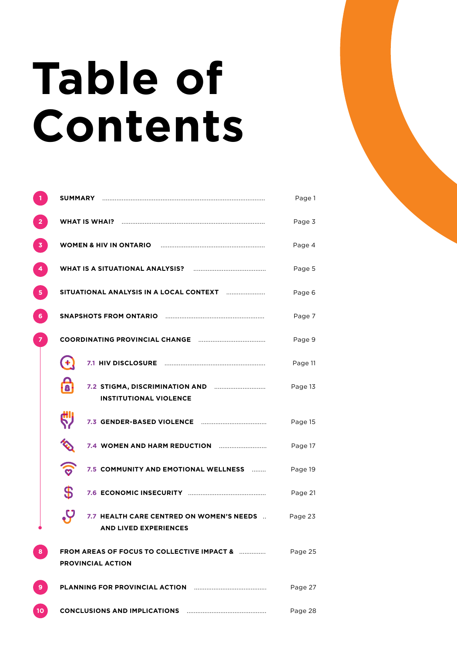# **Table of Contents**

|                 | SUMMARY                                                                            | Page 1  |
|-----------------|------------------------------------------------------------------------------------|---------|
|                 | <b>WHAT IS WHAI?</b>                                                               | Page 3  |
| 3               | <b>WOMEN &amp; HIV IN ONTARIO</b>                                                  | Page 4  |
| 4               | WHAT IS A SITUATIONAL ANALYSIS?                                                    | Page 5  |
| 5               | SITUATIONAL ANALYSIS IN A LOCAL CONTEXT                                            | Page 6  |
| 6.              | <b>SNAPSHOTS FROM ONTARIO</b>                                                      | Page 7  |
|                 | <b>COORDINATING PROVINCIAL CHANGE</b>                                              | Page 9  |
|                 | 7.1 HIV DISCLOSURE                                                                 | Page 11 |
|                 | 7.2 STIGMA, DISCRIMINATION AND<br><b>INSTITUTIONAL VIOLENCE</b>                    | Page 13 |
|                 | 7.3 GENDER-BASED VIOLENCE                                                          | Page 15 |
|                 | 7.4 WOMEN AND HARM REDUCTION                                                       | Page 17 |
|                 | 7.5 COMMUNITY AND EMOTIONAL WELLNESS<br>.                                          | Page 19 |
|                 | \$                                                                                 | Page 21 |
|                 | 7.7 HEALTH CARE CENTRED ON WOMEN'S NEEDS<br><b>AND LIVED EXPERIENCES</b>           | Page 23 |
| 8               | <b>FROM AREAS OF FOCUS TO COLLECTIVE IMPACT &amp; </b><br><b>PROVINCIAL ACTION</b> | Page 25 |
| 9               | PLANNING FOR PROVINCIAL ACTION                                                     | Page 27 |
| 10 <sup>2</sup> |                                                                                    | Page 28 |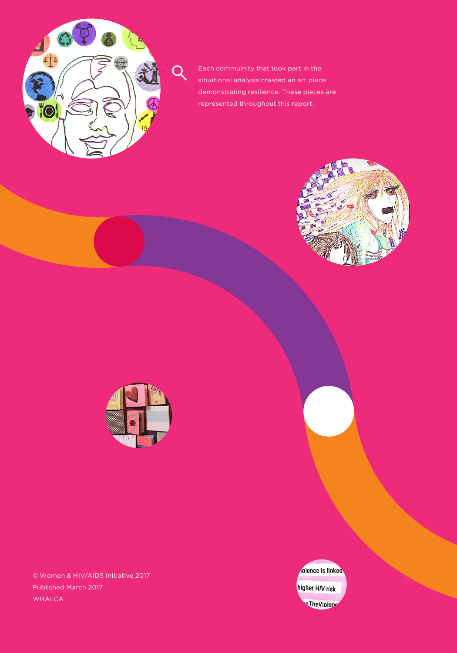

Each commuinity that took part in the situational analysis created an art piece demonstrating resilience. These pieces are represented throughout this report.





© Women & HIV/AIDS Initiative 2017 Published March 2017 WHAI.CA

olence is linked higher HIV risk oTheViolene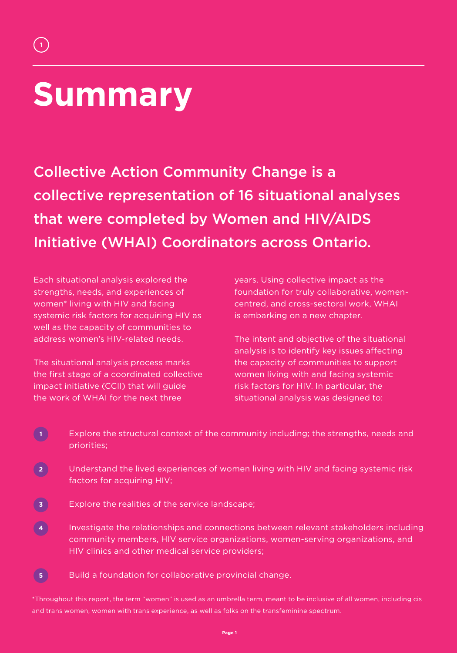## **Summary**

**1**

Collective Action Community Change is a collective representation of 16 situational analyses that were completed by Women and HIV/AIDS Initiative (WHAI) Coordinators across Ontario.

Each situational analysis explored the strengths, needs, and experiences of women\* living with HIV and facing systemic risk factors for acquiring HIV as well as the capacity of communities to address women's HIV-related needs.

The situational analysis process marks the first stage of a coordinated collective impact initiative (CCII) that will guide the work of WHAI for the next three

years. Using collective impact as the foundation for truly collaborative, womencentred, and cross-sectoral work, WHAI is embarking on a new chapter.

The intent and objective of the situational analysis is to identify key issues affecting the capacity of communities to support women living with and facing systemic risk factors for HIV. In particular, the situational analysis was designed to:

- Explore the structural context of the community including; the strengths, needs and priorities;
- Understand the lived experiences of women living with HIV and facing systemic risk factors for acquiring HIV;
- Explore the realities of the service landscape; **3**
- Investigate the relationships and connections between relevant stakeholders including community members, HIV service organizations, women-serving organizations, and HIV clinics and other medical service providers; **4**
- Build a foundation for collaborative provincial change. **5**

\*Throughout this report, the term "women" is used as an umbrella term, meant to be inclusive of all women, including cis and trans women, women with trans experience, as well as folks on the transfeminine spectrum.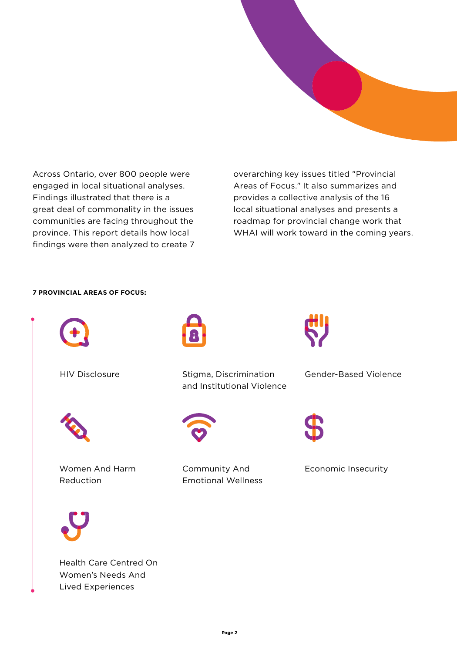

Across Ontario, over 800 people were engaged in local situational analyses. Findings illustrated that there is a great deal of commonality in the issues communities are facing throughout the province. This report details how local findings were then analyzed to create 7 overarching key issues titled "Provincial Areas of Focus." It also summarizes and provides a collective analysis of the 16 local situational analyses and presents a roadmap for provincial change work that WHAI will work toward in the coming years.

#### **7 PROVINCIAL AREAS OF FOCUS:**



HIV Disclosure



Women And Harm Reduction



Stigma, Discrimination and Institutional Violence



Community And Emotional Wellness



Gender-Based Violence



Economic Insecurity

Health Care Centred On Women's Needs And Lived Experiences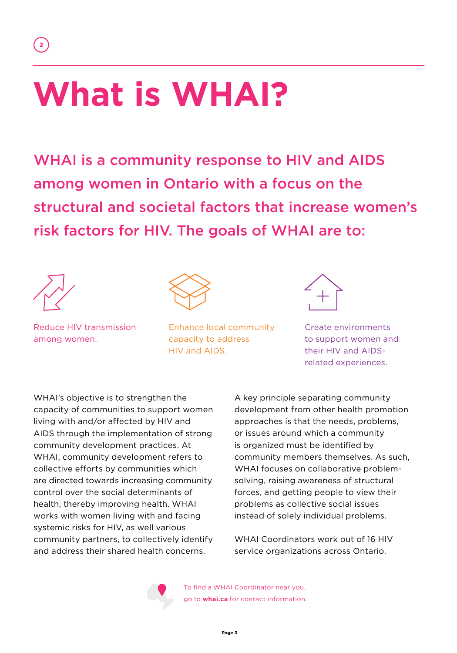## **What is WHAI?**

WHAI is a community response to HIV and AIDS among women in Ontario with a focus on the structural and societal factors that increase women's risk factors for HIV. The goals of WHAI are to:



**2**

Reduce HIV transmission among women.



Enhance local community capacity to address HIV and AIDS.



Create environments to support women and their HIV and AIDSrelated experiences.

WHAI's objective is to strengthen the capacity of communities to support women living with and/or affected by HIV and AIDS through the implementation of strong community development practices. At WHAI, community development refers to collective efforts by communities which are directed towards increasing community control over the social determinants of health, thereby improving health. WHAI works with women living with and facing systemic risks for HIV, as well various community partners, to collectively identify and address their shared health concerns.

A key principle separating community development from other health promotion approaches is that the needs, problems, or issues around which a community is organized must be identified by community members themselves. As such, WHAI focuses on collaborative problemsolving, raising awareness of structural forces, and getting people to view their problems as collective social issues instead of solely individual problems.

WHAI Coordinators work out of 16 HIV service organizations across Ontario.



To find a WHAI Coordinator near you, go to **whai.ca** for contact information.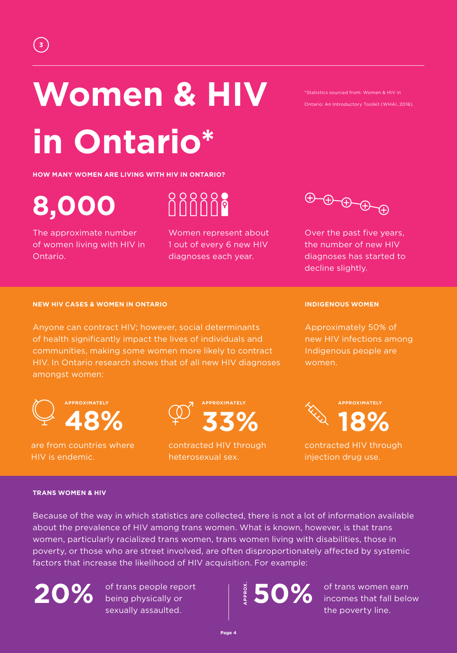# **Women & HIV in Ontario\***

**HOW MANY WOMEN ARE LIVING WITH HIV IN ONTARIO?**

**8,000**

The approximate number of women living with HIV in Ontario.

nnnn:

Women represent about 1 out of every 6 new HIV diagnoses each year.



\*Statistics sourced from: Women & HIV in Ontario: An Introductory Toolkit (WHAI, 2016).

Over the past five years, the number of new HIV diagnoses has started to decline slightly.

#### **NEW HIV CASES & WOMEN IN ONTARIO**

Anyone can contract HIV; however, social determinants of health significantly impact the lives of individuals and communities, making some women more likely to contract HIV. In Ontario research shows that of all new HIV diagnoses amongst women:



are from countries where HIV is endemic.



contracted HIV through heterosexual sex.

**INDIGENOUS WOMEN**

Approximately 50% of new HIV infections among Indigenous people are women.



contracted HIV through injection drug use.

#### **TRANS WOMEN & HIV**

Because of the way in which statistics are collected, there is not a lot of information available about the prevalence of HIV among trans women. What is known, however, is that trans women, particularly racialized trans women, trans women living with disabilities, those in poverty, or those who are street involved, are often disproportionately affected by systemic factors that increase the likelihood of HIV acquisition. For example:

 $20\%$  **being physically or**  $\frac{8}{5}50\%$ of trans people report being physically or sexually assaulted.

**APPROX.**

of trans women earn incomes that fall below the poverty line.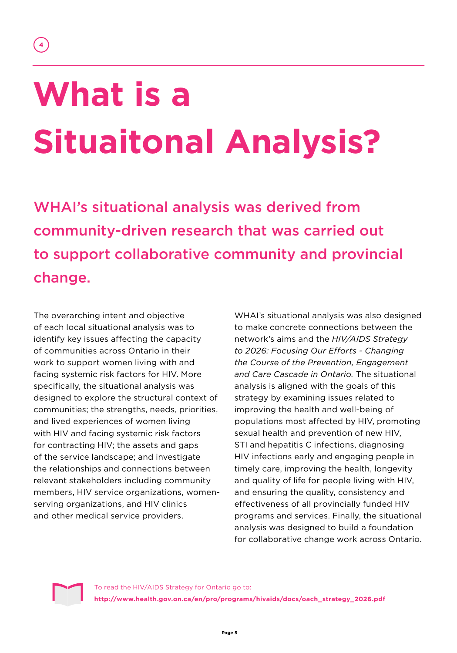# **What is a Situaitonal Analysis?**

WHAI's situational analysis was derived from community-driven research that was carried out to support collaborative community and provincial change.

The overarching intent and objective of each local situational analysis was to identify key issues affecting the capacity of communities across Ontario in their work to support women living with and facing systemic risk factors for HIV. More specifically, the situational analysis was designed to explore the structural context of communities; the strengths, needs, priorities, and lived experiences of women living with HIV and facing systemic risk factors for contracting HIV; the assets and gaps of the service landscape; and investigate the relationships and connections between relevant stakeholders including community members, HIV service organizations, womenserving organizations, and HIV clinics and other medical service providers.

WHAI's situational analysis was also designed to make concrete connections between the network's aims and the *HIV/AIDS Strategy to 2026: Focusing Our Efforts - Changing the Course of the Prevention, Engagement and Care Cascade in Ontario.* The situational analysis is aligned with the goals of this strategy by examining issues related to improving the health and well-being of populations most affected by HIV, promoting sexual health and prevention of new HIV, STI and hepatitis C infections, diagnosing HIV infections early and engaging people in timely care, improving the health, longevity and quality of life for people living with HIV, and ensuring the quality, consistency and effectiveness of all provincially funded HIV programs and services. Finally, the situational analysis was designed to build a foundation for collaborative change work across Ontario.



To read the HIV/AIDS Strategy for Ontario go to: **http://www.health.gov.on.ca/en/pro/programs/hivaids/docs/oach\_strategy\_2026.pdf**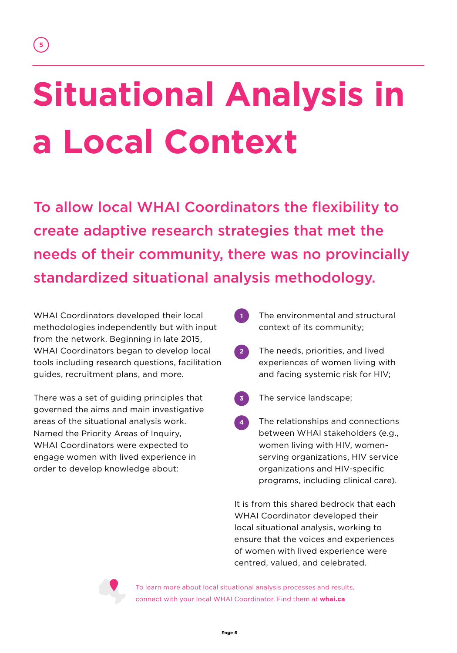# **Situational Analysis in a Local Context**

To allow local WHAI Coordinators the flexibility to create adaptive research strategies that met the needs of their community, there was no provincially standardized situational analysis methodology.

WHAI Coordinators developed their local methodologies independently but with input from the network. Beginning in late 2015, WHAI Coordinators began to develop local tools including research questions, facilitation guides, recruitment plans, and more.

**5**

There was a set of guiding principles that governed the aims and main investigative areas of the situational analysis work. Named the Priority Areas of Inquiry, WHAI Coordinators were expected to engage women with lived experience in order to develop knowledge about:

- The environmental and structural context of its community; **1**
- The needs, priorities, and lived experiences of women living with and facing systemic risk for HIV; **2**
- The service landscape; **3**
- The relationships and connections between WHAI stakeholders (e.g., women living with HIV, womenserving organizations, HIV service organizations and HIV-specific programs, including clinical care). **4**

It is from this shared bedrock that each WHAI Coordinator developed their local situational analysis, working to ensure that the voices and experiences of women with lived experience were centred, valued, and celebrated.



To learn more about local situational analysis processes and results, connect with your local WHAI Coordinator. Find them at **whai.ca**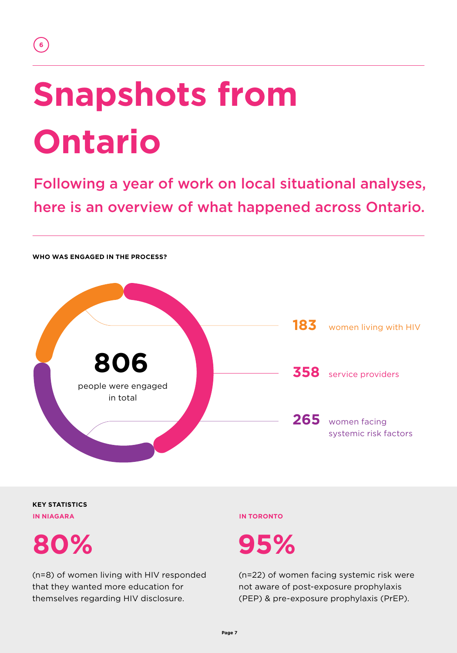### **6**

# **Snapshots from Ontario**

Following a year of work on local situational analyses, here is an overview of what happened across Ontario.



**KEY STATISTICS IN NIAGARA IN TORONTO**

**80% 95%**

(n=8) of women living with HIV responded that they wanted more education for themselves regarding HIV disclosure.

(n=22) of women facing systemic risk were not aware of post-exposure prophylaxis (PEP) & pre-exposure prophylaxis (PrEP).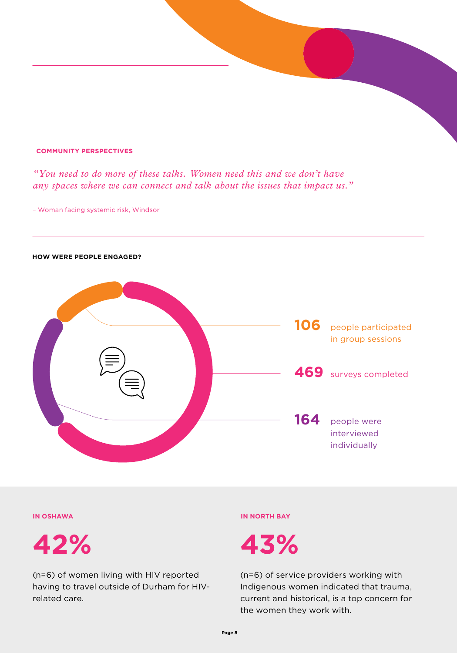#### **COMMUNITY PERSPECTIVES**

*"You need to do more of these talks. Women need this and we don't have any spaces where we can connect and talk about the issues that impact us."*

– Woman facing systemic risk, Windsor

#### **HOW WERE PEOPLE ENGAGED?**





(n=6) of women living with HIV reported having to travel outside of Durham for HIVrelated care.

#### **IN OSHAWA IN NORTH BAY**

(n=6) of service providers working with Indigenous women indicated that trauma, current and historical, is a top concern for the women they work with.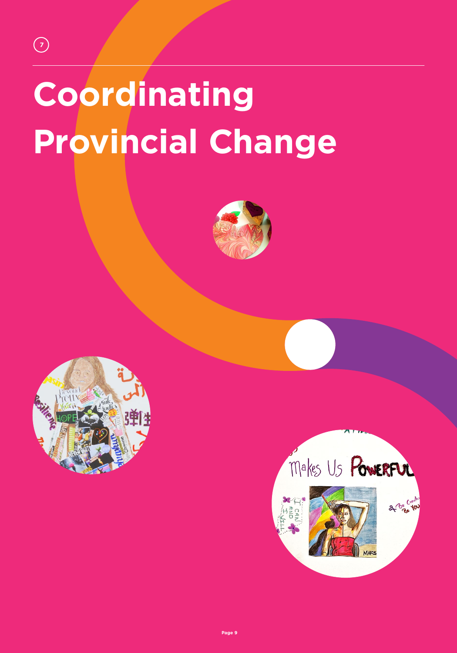# **Coordinating Provincial Change**





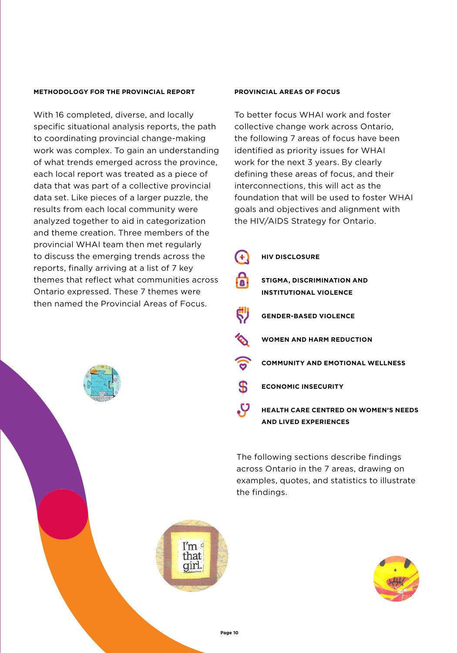#### **METHODOLOGY FOR THE PROVINCIAL REPORT**

With 16 completed, diverse, and locally specific situational analysis reports, the path to coordinating provincial change-making work was complex. To gain an understanding of what trends emerged across the province, each local report was treated as a piece of data that was part of a collective provincial data set. Like pieces of a larger puzzle, the results from each local community were analyzed together to aid in categorization and theme creation. Three members of the provincial WHAI team then met regularly to discuss the emerging trends across the reports, finally arriving at a list of 7 key themes that reflect what communities across Ontario expressed. These 7 themes were then named the Provincial Areas of Focus.

#### **PROVINCIAL AREAS OF FOCUS**

To better focus WHAI work and foster collective change work across Ontario, the following 7 areas of focus have been identified as priority issues for WHAI work for the next 3 years. By clearly defining these areas of focus, and their interconnections, this will act as the foundation that will be used to foster WHAI goals and objectives and alignment with the HIV/AIDS Strategy for Ontario.

|             | <b>HIV DISCLOSURE</b>                                                       |
|-------------|-----------------------------------------------------------------------------|
| Δ           | <b>STIGMA, DISCRIMINATION AND</b><br><b>INSTITUTIONAL VIOLENCE</b>          |
|             | <b>GENDER-BASED VIOLENCE</b>                                                |
|             | <b>WOMEN AND HARM REDUCTION</b>                                             |
|             | <b>COMMUNITY AND EMOTIONAL WELLNESS</b>                                     |
| $\bigoplus$ | <b>ECONOMIC INSECURITY</b>                                                  |
|             | <b>HEALTH CARE CENTRED ON WOMEN'S NEEDS</b><br><b>AND LIVED EXPERIENCES</b> |

The following sections describe findings across Ontario in the 7 areas, drawing on examples, quotes, and statistics to illustrate the findings.



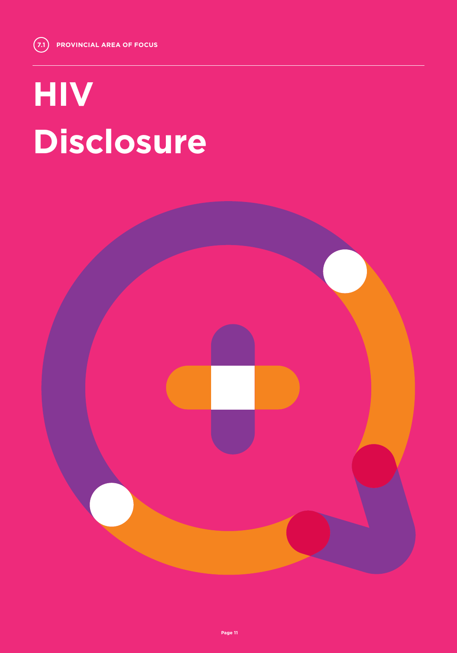# **HIV Disclosure**

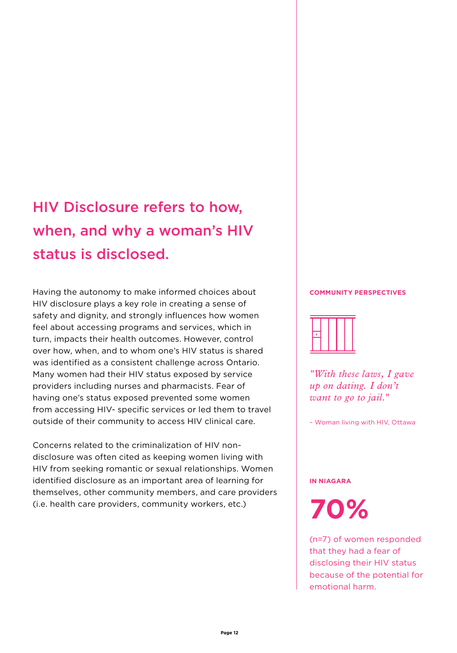## HIV Disclosure refers to how, when, and why a woman's HIV status is disclosed.

Having the autonomy to make informed choices about HIV disclosure plays a key role in creating a sense of safety and dignity, and strongly influences how women feel about accessing programs and services, which in turn, impacts their health outcomes. However, control over how, when, and to whom one's HIV status is shared was identified as a consistent challenge across Ontario. Many women had their HIV status exposed by service providers including nurses and pharmacists. Fear of having one's status exposed prevented some women from accessing HIV- specific services or led them to travel outside of their community to access HIV clinical care.

Concerns related to the criminalization of HIV nondisclosure was often cited as keeping women living with HIV from seeking romantic or sexual relationships. Women identified disclosure as an important area of learning for themselves, other community members, and care providers (i.e. health care providers, community workers, etc.)

#### **COMMUNITY PERSPECTIVES**



*"With these laws, I gave up on dating. I don't want to go to jail."*

– Woman living with HIV, Ottawa

#### **IN NIAGARA**

**70%**

(n=7) of women responded that they had a fear of disclosing their HIV status because of the potential for emotional harm.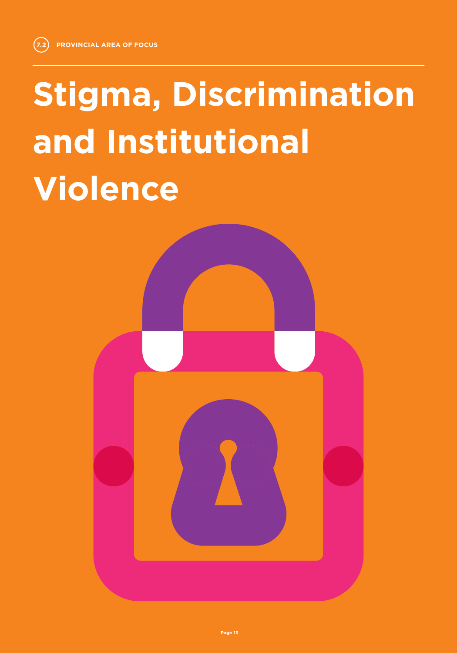**7.2**

# **Stigma, Discrimination and Institutional Violence**

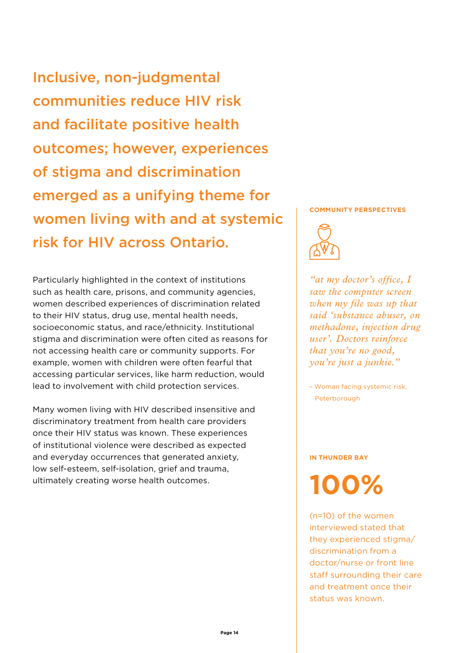Inclusive, non-judgmental communities reduce HIV risk and facilitate positive health outcomes; however, experiences of stigma and discrimination emerged as a unifying theme for women living with and at systemic risk for HIV across Ontario.

Particularly highlighted in the context of institutions such as health care, prisons, and community agencies, women described experiences of discrimination related to their HIV status, drug use, mental health needs, socioeconomic status, and race/ethnicity. Institutional stigma and discrimination were often cited as reasons for not accessing health care or community supports. For example, women with children were often fearful that accessing particular services, like harm reduction, would lead to involvement with child protection services.

Many women living with HIV described insensitive and discriminatory treatment from health care providers once their HIV status was known. These experiences of institutional violence were described as expected and everyday occurrences that generated anxiety, low self-esteem, self-isolation, grief and trauma, ultimately creating worse health outcomes.

#### **COMMUNITY PERSPECTIVES**



*"at my doctor's office, I saw the computer screen when my file was up that said 'substance abuser, on methadone, injection drug user'. Doctors reinforce that you're no good, you're just a junkie."*

– Woman facing systemic risk, Peterborough

#### **IN THUNDER BAY**

**100%**

(n=10) of the women interviewed stated that they experienced stigma/ discrimination from a doctor/nurse or front line staff surrounding their care and treatment once their status was known.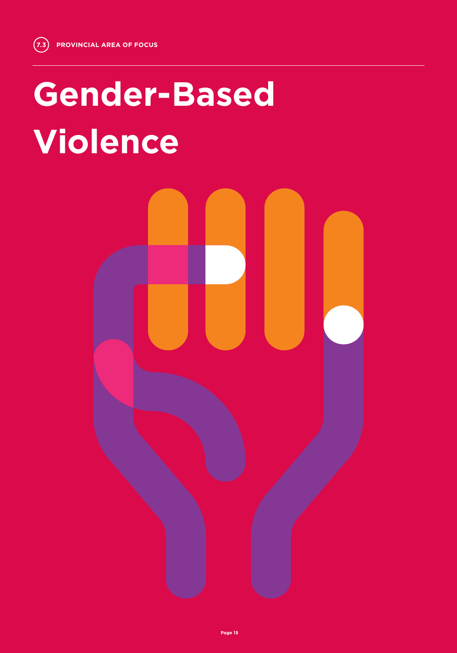## **Gender-Based Violence**

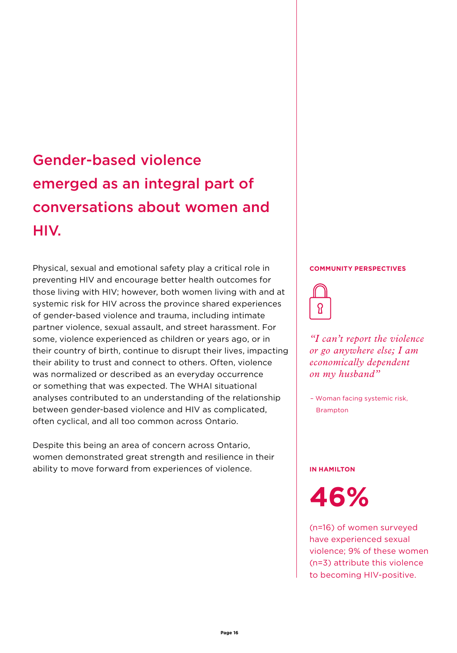## Gender-based violence emerged as an integral part of conversations about women and HIV.

Physical, sexual and emotional safety play a critical role in preventing HIV and encourage better health outcomes for those living with HIV; however, both women living with and at systemic risk for HIV across the province shared experiences of gender-based violence and trauma, including intimate partner violence, sexual assault, and street harassment. For some, violence experienced as children or years ago, or in their country of birth, continue to disrupt their lives, impacting their ability to trust and connect to others. Often, violence was normalized or described as an everyday occurrence or something that was expected. The WHAI situational analyses contributed to an understanding of the relationship between gender-based violence and HIV as complicated, often cyclical, and all too common across Ontario.

Despite this being an area of concern across Ontario, women demonstrated great strength and resilience in their ability to move forward from experiences of violence.

#### **COMMUNITY PERSPECTIVES**



*"I can't report the violence or go anywhere else; I am economically dependent on my husband"*

– Woman facing systemic risk, Brampton

#### **IN HAMILTON**

**46%**

(n=16) of women surveyed have experienced sexual violence; 9% of these women (n=3) attribute this violence to becoming HIV-positive.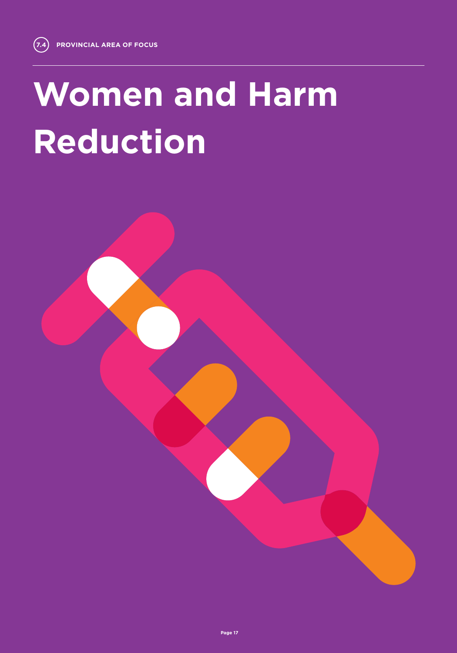# **Women and Harm Reduction**

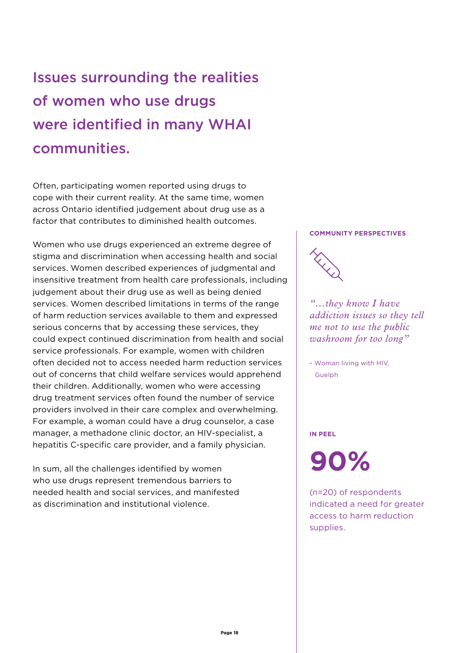Issues surrounding the realities of women who use drugs were identified in many WHAI communities.

Often, participating women reported using drugs to cope with their current reality. At the same time, women across Ontario identified judgement about drug use as a factor that contributes to diminished health outcomes.

Women who use drugs experienced an extreme degree of stigma and discrimination when accessing health and social services. Women described experiences of judgmental and insensitive treatment from health care professionals, including judgement about their drug use as well as being denied services. Women described limitations in terms of the range of harm reduction services available to them and expressed serious concerns that by accessing these services, they could expect continued discrimination from health and social service professionals. For example, women with children often decided not to access needed harm reduction services out of concerns that child welfare services would apprehend their children. Additionally, women who were accessing drug treatment services often found the number of service providers involved in their care complex and overwhelming. For example, a woman could have a drug counselor, a case manager, a methadone clinic doctor, an HIV-specialist, a hepatitis C-specific care provider, and a family physician.

In sum, all the challenges identified by women who use drugs represent tremendous barriers to needed health and social services, and manifested as discrimination and institutional violence.

#### **COMMUNITY PERSPECTIVES**



*"…they know I have addiction issues so they tell me not to use the public washroom for too long"* 

– Woman living with HIV, **Guelph** 

#### **IN PEEL**

**90%**

(n=20) of respondents indicated a need for greater access to harm reduction supplies.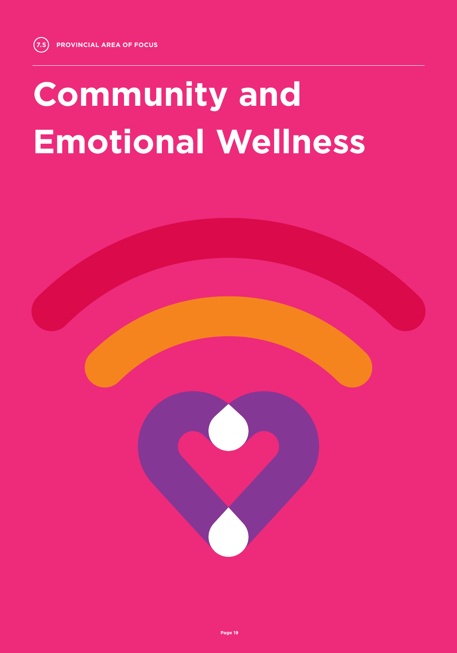# **Community and Emotional Wellness**

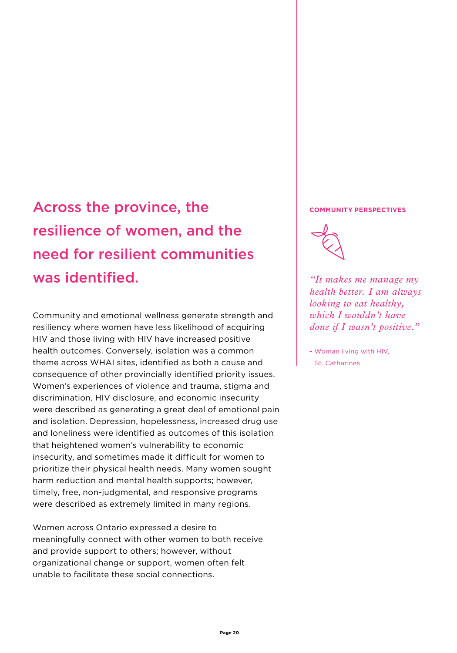## Across the province, the **COMMUNITY PERSPECTIVES** resilience of women, and the need for resilient communities was identified.

Community and emotional wellness generate strength and resiliency where women have less likelihood of acquiring HIV and those living with HIV have increased positive health outcomes. Conversely, isolation was a common theme across WHAI sites, identified as both a cause and consequence of other provincially identified priority issues. Women's experiences of violence and trauma, stigma and discrimination, HIV disclosure, and economic insecurity were described as generating a great deal of emotional pain and isolation. Depression, hopelessness, increased drug use and loneliness were identified as outcomes of this isolation that heightened women's vulnerability to economic insecurity, and sometimes made it difficult for women to prioritize their physical health needs. Many women sought harm reduction and mental health supports; however, timely, free, non-judgmental, and responsive programs were described as extremely limited in many regions.

Women across Ontario expressed a desire to meaningfully connect with other women to both receive and provide support to others; however, without organizational change or support, women often felt unable to facilitate these social connections.



*"It makes me manage my health better. I am always looking to eat healthy, which I wouldn't have done if I wasn't positive."*

– Woman living with HIV, St. Catharines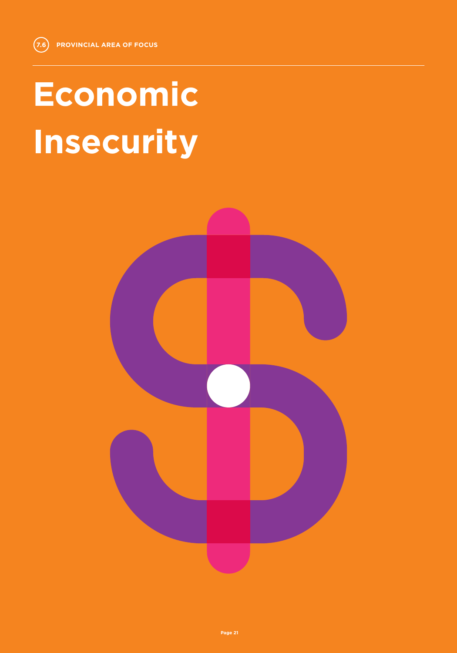# **Economic Insecurity**

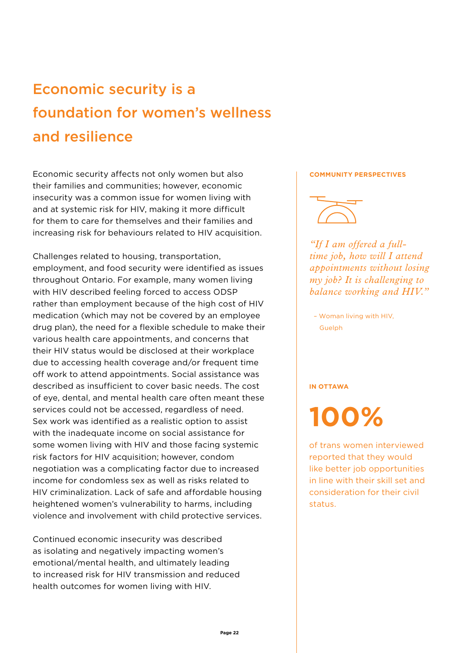## Economic security is a foundation for women's wellness and resilience

Economic security affects not only women but also their families and communities; however, economic insecurity was a common issue for women living with and at systemic risk for HIV, making it more difficult for them to care for themselves and their families and increasing risk for behaviours related to HIV acquisition.

Challenges related to housing, transportation, employment, and food security were identified as issues throughout Ontario. For example, many women living with HIV described feeling forced to access ODSP rather than employment because of the high cost of HIV medication (which may not be covered by an employee drug plan), the need for a flexible schedule to make their various health care appointments, and concerns that their HIV status would be disclosed at their workplace due to accessing health coverage and/or frequent time off work to attend appointments. Social assistance was described as insufficient to cover basic needs. The cost of eye, dental, and mental health care often meant these services could not be accessed, regardless of need. Sex work was identified as a realistic option to assist with the inadequate income on social assistance for some women living with HIV and those facing systemic risk factors for HIV acquisition; however, condom negotiation was a complicating factor due to increased income for condomless sex as well as risks related to HIV criminalization. Lack of safe and affordable housing heightened women's vulnerability to harms, including violence and involvement with child protective services.

Continued economic insecurity was described as isolating and negatively impacting women's emotional/mental health, and ultimately leading to increased risk for HIV transmission and reduced health outcomes for women living with HIV.

#### **COMMUNITY PERSPECTIVES**



*"If I am offered a fulltime job, how will I attend appointments without losing my job? It is challenging to balance working and HIV."* 

– Woman living with HIV, Guelph

#### **IN OTTAWA**

## **100%**

of trans women interviewed reported that they would like better job opportunities in line with their skill set and consideration for their civil status.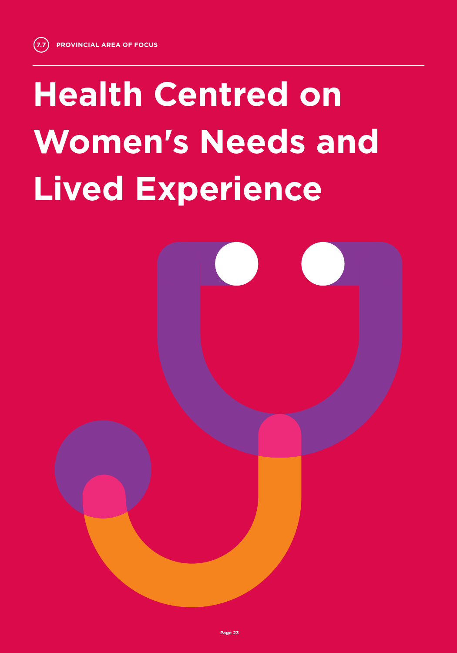# **Health Centred on Women's Needs and Lived Experience**

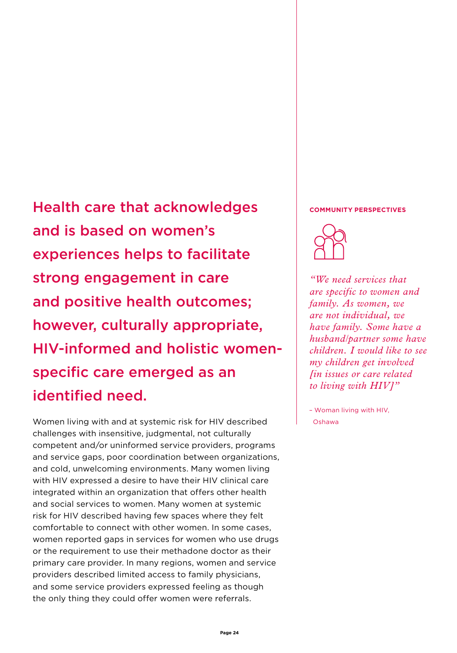**Lived Experience Experience Experience Experience** Health care that acknowledges and community perspectives and is based on women's experiences helps to facilitate strong engagement in care and positive health outcomes; however, culturally appropriate, HIV-informed and holistic womenspecific care emerged as an identified need.

> Women living with and at systemic risk for HIV described challenges with insensitive, judgmental, not culturally competent and/or uninformed service providers, programs and service gaps, poor coordination between organizations, and cold, unwelcoming environments. Many women living with HIV expressed a desire to have their HIV clinical care integrated within an organization that offers other health and social services to women. Many women at systemic risk for HIV described having few spaces where they felt comfortable to connect with other women. In some cases, women reported gaps in services for women who use drugs or the requirement to use their methadone doctor as their primary care provider. In many regions, women and service providers described limited access to family physicians, and some service providers expressed feeling as though the only thing they could offer women were referrals.



*"We need services that are specific to women and family. As women, we are not individual, we have family. Some have a husband/partner some have children. I would like to see my children get involved [in issues or care related to living with HIV]"*

– Woman living with HIV, Oshawa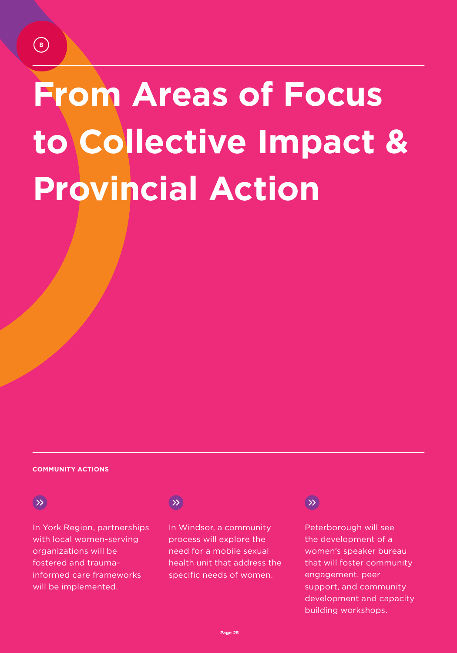# **From Areas of Focus to Collective Impact & Provincial Action**

#### **COMMUNITY ACTIONS**

#### $\rightarrow$

In York Region, partnerships with local women-serving organizations will be fostered and traumainformed care frameworks will be implemented.

### $\rightarrow$

In Windsor, a community process will explore the need for a mobile sexual health unit that address the specific needs of women.

#### $\rightarrow$

Peterborough will see the development of a women's speaker bureau that will foster community engagement, peer support, and community development and capacity building workshops.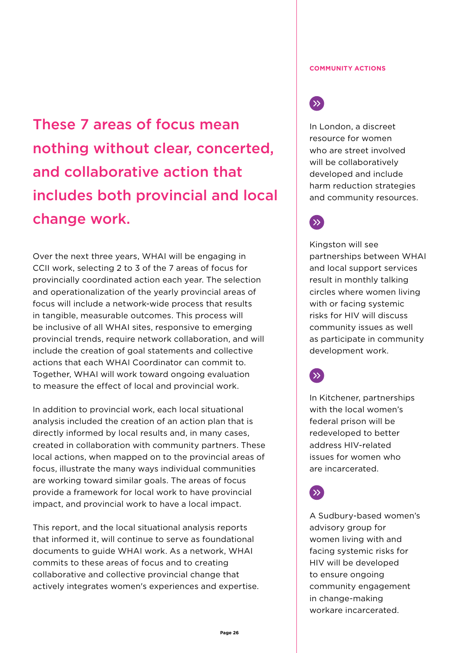These 7 areas of focus mean nothing without clear, concerted, and collaborative action that includes both provincial and local change work.

Over the next three years, WHAI will be engaging in CCII work, selecting 2 to 3 of the 7 areas of focus for provincially coordinated action each year. The selection and operationalization of the yearly provincial areas of focus will include a network-wide process that results in tangible, measurable outcomes. This process will be inclusive of all WHAI sites, responsive to emerging provincial trends, require network collaboration, and will include the creation of goal statements and collective actions that each WHAI Coordinator can commit to. Together, WHAI will work toward ongoing evaluation to measure the effect of local and provincial work.

In addition to provincial work, each local situational analysis included the creation of an action plan that is directly informed by local results and, in many cases, created in collaboration with community partners. These local actions, when mapped on to the provincial areas of focus, illustrate the many ways individual communities are working toward similar goals. The areas of focus provide a framework for local work to have provincial impact, and provincial work to have a local impact.

This report, and the local situational analysis reports that informed it, will continue to serve as foundational documents to guide WHAI work. As a network, WHAI commits to these areas of focus and to creating collaborative and collective provincial change that actively integrates women's experiences and expertise.

#### **COMMUNITY ACTIONS**

### $\left( \gg \right)$

In London, a discreet resource for women who are street involved will be collaboratively developed and include harm reduction strategies and community resources.



Kingston will see partnerships between WHAI and local support services result in monthly talking circles where women living with or facing systemic risks for HIV will discuss community issues as well as participate in community development work.

 $\rightarrow$ 

In Kitchener, partnerships with the local women's federal prison will be redeveloped to better address HIV-related issues for women who are incarcerated.

 $\langle \rangle$ 

A Sudbury-based women's advisory group for women living with and facing systemic risks for HIV will be developed to ensure ongoing community engagement in change-making workare incarcerated.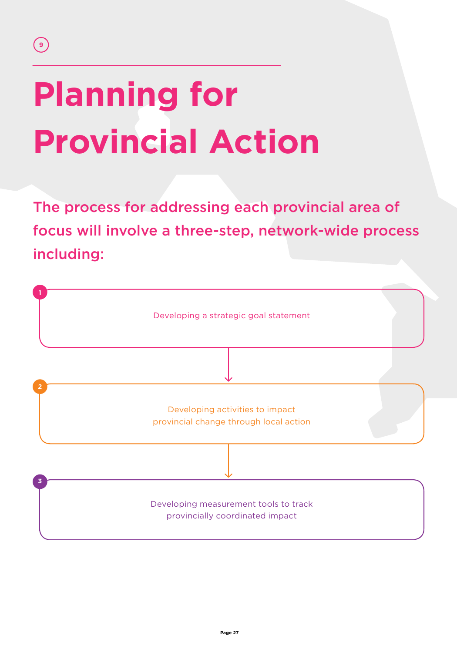# **Planning for Provincial Action**

The process for addressing each provincial area of focus will involve a three-step, network-wide process including:

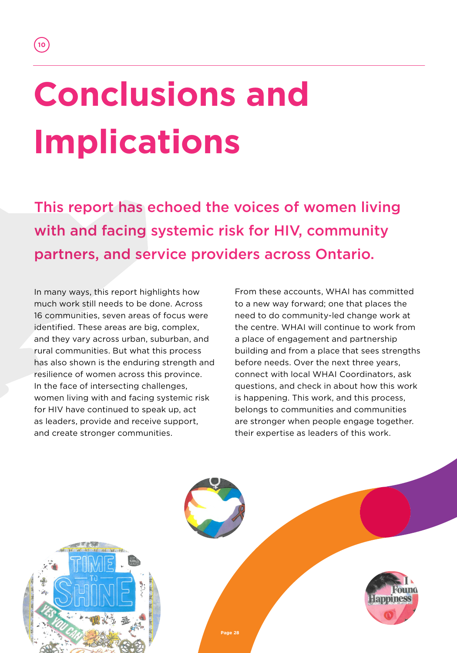# **Conclusions and Implications**

**10**

This report has echoed the voices of women living with and facing systemic risk for HIV, community partners, and service providers across Ontario.

In many ways, this report highlights how much work still needs to be done. Across 16 communities, seven areas of focus were identified. These areas are big, complex, and they vary across urban, suburban, and rural communities. But what this process has also shown is the enduring strength and resilience of women across this province. In the face of intersecting challenges, women living with and facing systemic risk for HIV have continued to speak up, act as leaders, provide and receive support, and create stronger communities.

From these accounts, WHAI has committed to a new way forward; one that places the need to do community-led change work at the centre. WHAI will continue to work from a place of engagement and partnership building and from a place that sees strengths before needs. Over the next three years, connect with local WHAI Coordinators, ask questions, and check in about how this work is happening. This work, and this process, belongs to communities and communities are stronger when people engage together. their expertise as leaders of this work.